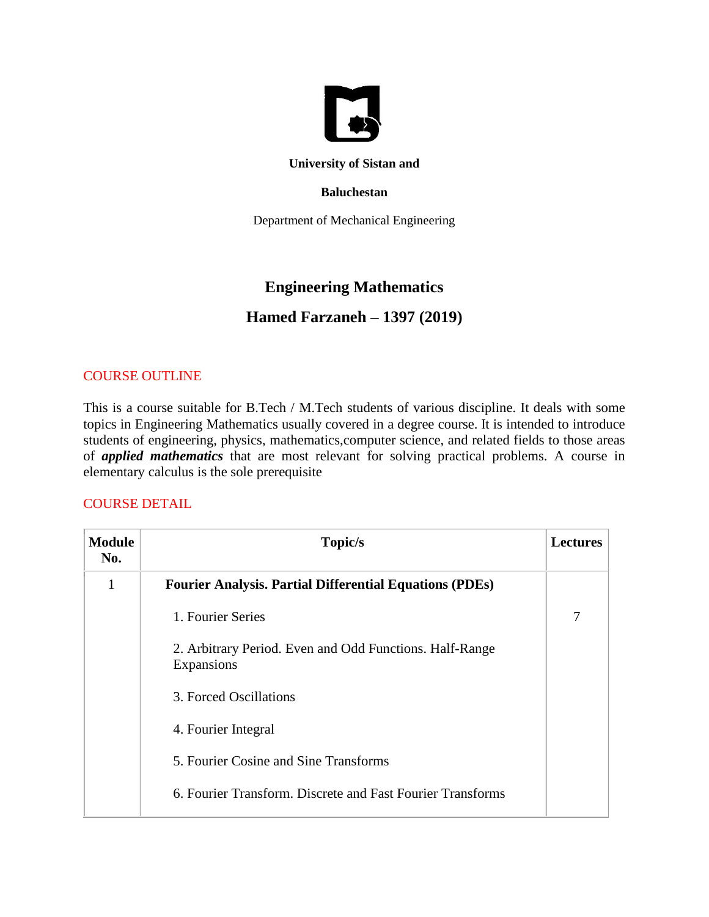

#### **University of Sistan and**

### **Baluchestan**

Department of Mechanical Engineering

# **Engineering Mathematics**

## **Hamed Farzaneh – 1397 (2019)**

## COURSE OUTLINE

This is a course suitable for B.Tech / M.Tech students of various discipline. It deals with some topics in Engineering Mathematics usually covered in a degree course. It is intended to introduce students of engineering, physics, mathematics,computer science, and related fields to those areas of *applied mathematics* that are most relevant for solving practical problems. A course in elementary calculus is the sole prerequisite

### COURSE DETAIL

| <b>Module</b><br>No. | Topic/s                                                               | <b>Lectures</b> |
|----------------------|-----------------------------------------------------------------------|-----------------|
| 1                    | <b>Fourier Analysis. Partial Differential Equations (PDEs)</b>        |                 |
|                      | 1. Fourier Series                                                     | 7               |
|                      | 2. Arbitrary Period. Even and Odd Functions. Half-Range<br>Expansions |                 |
|                      | 3. Forced Oscillations                                                |                 |
|                      | 4. Fourier Integral                                                   |                 |
|                      | 5. Fourier Cosine and Sine Transforms                                 |                 |
|                      | 6. Fourier Transform. Discrete and Fast Fourier Transforms            |                 |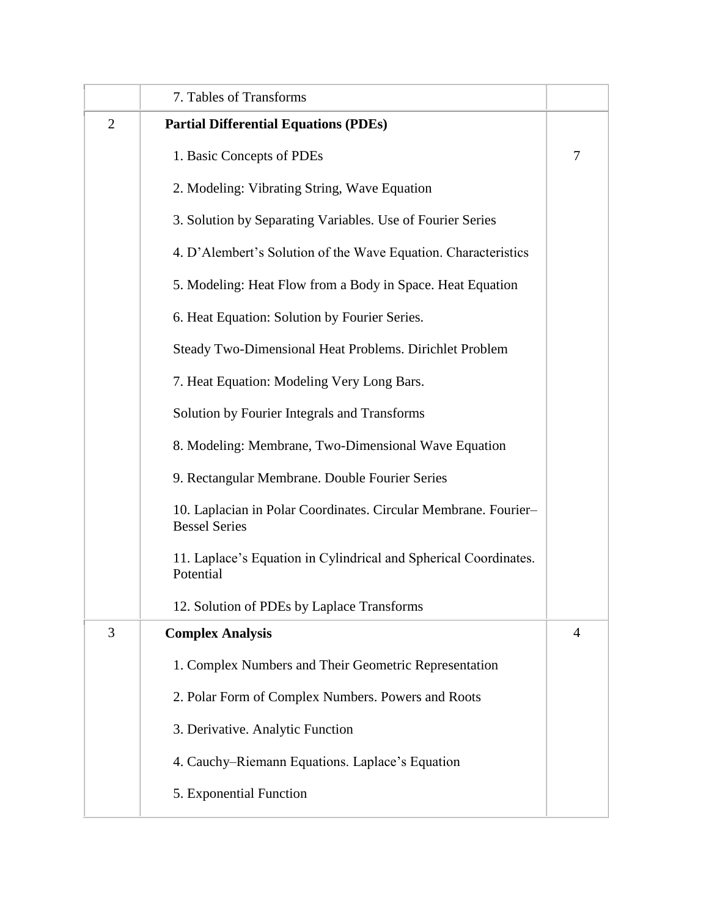|                | 7. Tables of Transforms                                                                 |                |
|----------------|-----------------------------------------------------------------------------------------|----------------|
| $\overline{2}$ | <b>Partial Differential Equations (PDEs)</b>                                            |                |
|                | 1. Basic Concepts of PDEs                                                               | $\overline{7}$ |
|                | 2. Modeling: Vibrating String, Wave Equation                                            |                |
|                | 3. Solution by Separating Variables. Use of Fourier Series                              |                |
|                | 4. D'Alembert's Solution of the Wave Equation. Characteristics                          |                |
|                | 5. Modeling: Heat Flow from a Body in Space. Heat Equation                              |                |
|                | 6. Heat Equation: Solution by Fourier Series.                                           |                |
|                | Steady Two-Dimensional Heat Problems. Dirichlet Problem                                 |                |
|                | 7. Heat Equation: Modeling Very Long Bars.                                              |                |
|                | Solution by Fourier Integrals and Transforms                                            |                |
|                | 8. Modeling: Membrane, Two-Dimensional Wave Equation                                    |                |
|                | 9. Rectangular Membrane. Double Fourier Series                                          |                |
|                | 10. Laplacian in Polar Coordinates. Circular Membrane. Fourier-<br><b>Bessel Series</b> |                |
|                | 11. Laplace's Equation in Cylindrical and Spherical Coordinates.<br>Potential           |                |
|                | 12. Solution of PDEs by Laplace Transforms                                              |                |
| 3              | <b>Complex Analysis</b>                                                                 | $\overline{4}$ |
|                | 1. Complex Numbers and Their Geometric Representation                                   |                |
|                | 2. Polar Form of Complex Numbers. Powers and Roots                                      |                |
|                | 3. Derivative. Analytic Function                                                        |                |
|                | 4. Cauchy–Riemann Equations. Laplace's Equation                                         |                |
|                | 5. Exponential Function                                                                 |                |